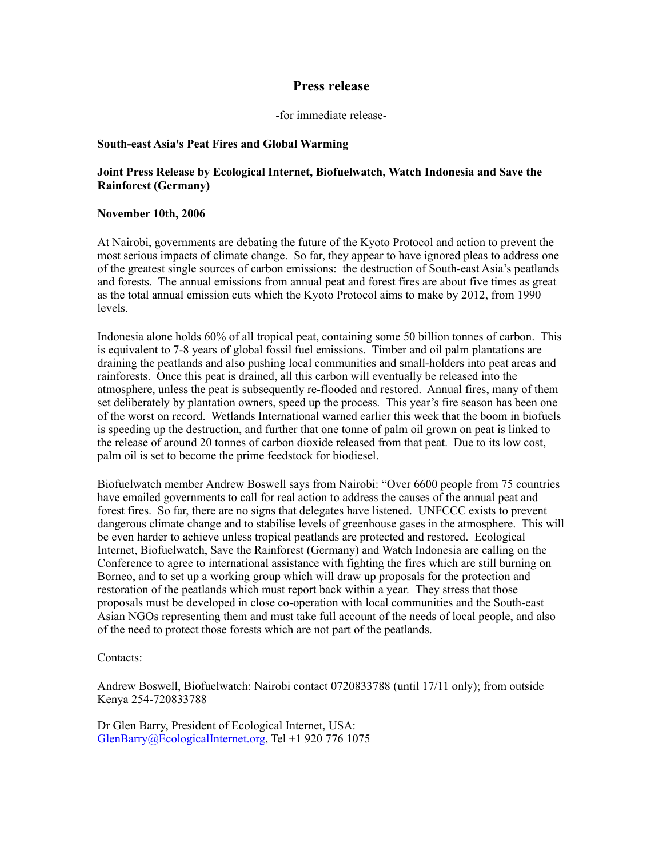# **Press release**

#### -for immediate release-

# **South-east Asia's Peat Fires and Global Warming**

# **Joint Press Release by Ecological Internet, Biofuelwatch, Watch Indonesia and Save the Rainforest (Germany)**

#### **November 10th, 2006**

At Nairobi, governments are debating the future of the Kyoto Protocol and action to prevent the most serious impacts of climate change. So far, they appear to have ignored pleas to address one of the greatest single sources of carbon emissions: the destruction of South-east Asia's peatlands and forests. The annual emissions from annual peat and forest fires are about five times as great as the total annual emission cuts which the Kyoto Protocol aims to make by 2012, from 1990 levels.

Indonesia alone holds 60% of all tropical peat, containing some 50 billion tonnes of carbon. This is equivalent to 7-8 years of global fossil fuel emissions. Timber and oil palm plantations are draining the peatlands and also pushing local communities and small-holders into peat areas and rainforests. Once this peat is drained, all this carbon will eventually be released into the atmosphere, unless the peat is subsequently re-flooded and restored. Annual fires, many of them set deliberately by plantation owners, speed up the process. This year's fire season has been one of the worst on record. Wetlands International warned earlier this week that the boom in biofuels is speeding up the destruction, and further that one tonne of palm oil grown on peat is linked to the release of around 20 tonnes of carbon dioxide released from that peat. Due to its low cost, palm oil is set to become the prime feedstock for biodiesel.

Biofuelwatch member Andrew Boswell says from Nairobi: "Over 6600 people from 75 countries have emailed governments to call for real action to address the causes of the annual peat and forest fires. So far, there are no signs that delegates have listened. UNFCCC exists to prevent dangerous climate change and to stabilise levels of greenhouse gases in the atmosphere. This will be even harder to achieve unless tropical peatlands are protected and restored. Ecological Internet, Biofuelwatch, Save the Rainforest (Germany) and Watch Indonesia are calling on the Conference to agree to international assistance with fighting the fires which are still burning on Borneo, and to set up a working group which will draw up proposals for the protection and restoration of the peatlands which must report back within a year. They stress that those proposals must be developed in close co-operation with local communities and the South-east Asian NGOs representing them and must take full account of the needs of local people, and also of the need to protect those forests which are not part of the peatlands.

#### Contacts:

Andrew Boswell, Biofuelwatch: Nairobi contact 0720833788 (until 17/11 only); from outside Kenya 254-720833788

Dr Glen Barry, President of Ecological Internet, USA: [GlenBarry@EcologicalInternet.org](mailto:GlenBarry@EcologicalInternet.org), Tel +1 920 776 1075